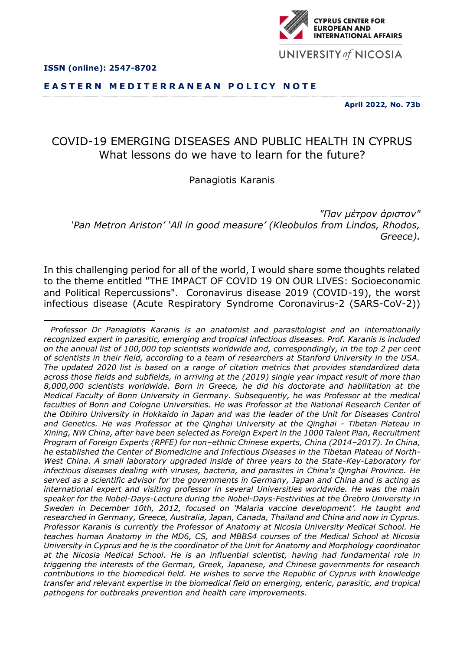





**YPRUS CENTER FOR OPEAN AND INTERNATIONAL AFFAIRS** 

UNIVERSITY of NICOSIA

# COVID-19 EMERGING DISEASES AND PUBLIC HEALTH IN CYPRUS What lessons do we have to learn for the future?

# Panagiotis Karanis

*"Παν μέτρον άριστον" 'Pan Metron Ariston' 'All in good measure' (Kleobulos from Lindos, Rhodos, Greece).*

In this challenging period for all of the world, I would share some thoughts related to the theme entitled "THE IMPACT OF COVID 19 ON OUR LIVES: Socioeconomic and Political Repercussions". Coronavirus disease 2019 (COVID-19), the worst infectious disease (Acute Respiratory Syndrome Coronavirus-2 (SARS-CoV-2))

*Professor Dr Panagiotis Karanis is an anatomist and parasitologist and an internationally recognized expert in parasitic, emerging and tropical infectious diseases. Prof. Karanis is included on the annual list of 100,000 top scientists worldwide and, correspondingly, in the top 2 per cent of scientists in their field, according to a team of researchers at Stanford University in the USA. The updated 2020 list is based on a range of citation metrics that provides standardized data across those fields and subfields, in arriving at the (2019) single year impact result of more than 8,000,000 scientists worldwide. Born in Greece, he did his doctorate and habilitation at the Medical Faculty of Bonn University in Germany. Subsequently, he was Professor at the medical faculties of Bonn and Cologne Universities. He was Professor at the National Research Center of the Obihiro University in Hokkaido in Japan and was the leader of the Unit for Diseases Control and Genetics. He was Professor at the Qinghai University at the Qinghai - Tibetan Plateau in Xining, NW China, after have been selected as Foreign Expert in the 1000 Talent Plan, Recruitment Program of Foreign Experts (RPFE) for non–ethnic Chinese experts, China (2014–2017). In China, he established the Center of Biomedicine and Infectious Diseases in the Tibetan Plateau of North-West China. A small laboratory upgraded inside of three years to the State-Key-Laboratory for infectious diseases dealing with viruses, bacteria, and parasites in China's Qinghai Province. He served as a scientific advisor for the governments in Germany, Japan and China and is acting as international expert and visiting professor in several Universities worldwide. He was the main speaker for the Nobel-Days-Lecture during the Nobel-Days-Festivities at the Örebro University in Sweden in December 10th, 2012, focused on 'Malaria vaccine development'. He taught and researched in Germany, Greece, Australia, Japan, Canada, Thailand and China and now in Cyprus. Professor Karanis is currently the Professor of Anatomy at Nicosia University Medical School. He teaches human Anatomy in the MD6, CS, and MBBS4 courses of the Medical School at Nicosia University in Cyprus and he is the coordinator of the Unit for Anatomy and Morphology coordinator at the Nicosia Medical School. He is an influential scientist, having had fundamental role in triggering the interests of the German, Greek, Japanese, and Chinese governments for research contributions in the biomedical field. He wishes to serve the Republic of Cyprus with knowledge transfer and relevant expertise in the biomedical field on emerging, enteric, parasitic, and tropical pathogens for outbreaks prevention and health care improvements.*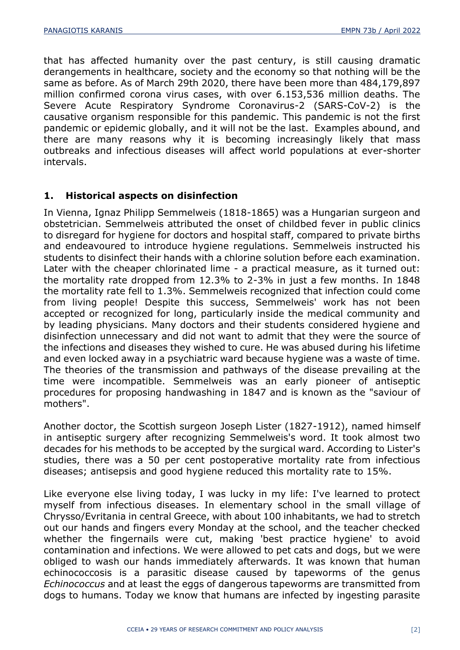that has affected humanity over the past century, is still causing dramatic derangements in healthcare, society and the economy so that nothing will be the same as before. As of March 29th 2020, there have been more than 484,179,897 million confirmed corona virus cases, with over 6.153,536 million deaths. The Severe Acute Respiratory Syndrome Coronavirus-2 (SARS-CoV-2) is the causative organism responsible for this pandemic. This pandemic is not the first pandemic or epidemic globally, and it will not be the last. Examples abound, and there are many reasons why it is becoming increasingly likely that mass outbreaks and infectious diseases will affect world populations at ever-shorter intervals.

## **1. Historical aspects on disinfection**

In Vienna, Ignaz Philipp Semmelweis (1818-1865) was a Hungarian surgeon and obstetrician. Semmelweis attributed the onset of childbed fever in public clinics to disregard for hygiene for doctors and hospital staff, compared to private births and endeavoured to introduce hygiene regulations. Semmelweis instructed his students to disinfect their hands with a chlorine solution before each examination. Later with the cheaper chlorinated lime - a practical measure, as it turned out: the mortality rate dropped from 12.3% to 2-3% in just a few months. In 1848 the mortality rate fell to 1.3%. Semmelweis recognized that infection could come from living people! Despite this success, Semmelweis' work has not been accepted or recognized for long, particularly inside the medical community and by leading physicians. Many doctors and their students considered hygiene and disinfection unnecessary and did not want to admit that they were the source of the infections and diseases they wished to cure. He was abused during his lifetime and even locked away in a psychiatric ward because hygiene was a waste of time. The theories of the transmission and pathways of the disease prevailing at the time were incompatible. Semmelweis was an early pioneer of antiseptic procedures for proposing handwashing in 1847 and is known as the "saviour of mothers".

Another doctor, the Scottish surgeon Joseph Lister (1827-1912), named himself in antiseptic surgery after recognizing Semmelweis's word. It took almost two decades for his methods to be accepted by the surgical ward. According to Lister's studies, there was a 50 per cent postoperative mortality rate from infectious diseases; antisepsis and good hygiene reduced this mortality rate to 15%.

Like everyone else living today, I was lucky in my life: I've learned to protect myself from infectious diseases. In elementary school in the small village of Chrysso/Evritania in central Greece, with about 100 inhabitants, we had to stretch out our hands and fingers every Monday at the school, and the teacher checked whether the fingernails were cut, making 'best practice hygiene' to avoid contamination and infections. We were allowed to pet cats and dogs, but we were obliged to wash our hands immediately afterwards. It was known that human echinococcosis is a parasitic disease caused by tapeworms of the genus *Echinococcus* and at least the eggs of dangerous tapeworms are transmitted from dogs to humans. Today we know that humans are infected by ingesting parasite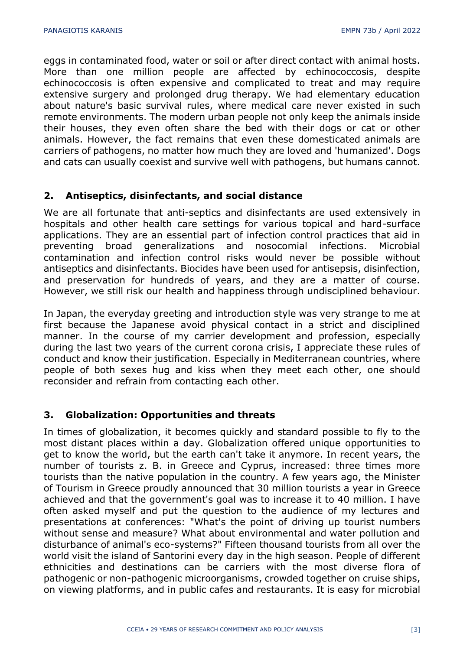eggs in contaminated food, water or soil or after direct contact with animal hosts. More than one million people are affected by echinococcosis, despite echinococcosis is often expensive and complicated to treat and may require extensive surgery and prolonged drug therapy. We had elementary education about nature's basic survival rules, where medical care never existed in such remote environments. The modern urban people not only keep the animals inside their houses, they even often share the bed with their dogs or cat or other animals. However, the fact remains that even these domesticated animals are carriers of pathogens, no matter how much they are loved and 'humanized'. Dogs and cats can usually coexist and survive well with pathogens, but humans cannot.

## **2. Antiseptics, disinfectants, and social distance**

We are all fortunate that anti-septics and disinfectants are used extensively in hospitals and other health care settings for various topical and hard-surface applications. They are an essential part of infection control practices that aid in preventing broad generalizations and nosocomial infections. Microbial contamination and infection control risks would never be possible without antiseptics and disinfectants. Biocides have been used for antisepsis, disinfection, and preservation for hundreds of years, and they are a matter of course. However, we still risk our health and happiness through undisciplined behaviour.

In Japan, the everyday greeting and introduction style was very strange to me at first because the Japanese avoid physical contact in a strict and disciplined manner. In the course of my carrier development and profession, especially during the last two years of the current corona crisis, I appreciate these rules of conduct and know their justification. Especially in Mediterranean countries, where people of both sexes hug and kiss when they meet each other, one should reconsider and refrain from contacting each other.

# **3. Globalization: Opportunities and threats**

In times of globalization, it becomes quickly and standard possible to fly to the most distant places within a day. Globalization offered unique opportunities to get to know the world, but the earth can't take it anymore. In recent years, the number of tourists z. B. in Greece and Cyprus, increased: three times more tourists than the native population in the country. A few years ago, the Minister of Tourism in Greece proudly announced that 30 million tourists a year in Greece achieved and that the government's goal was to increase it to 40 million. I have often asked myself and put the question to the audience of my lectures and presentations at conferences: "What's the point of driving up tourist numbers without sense and measure? What about environmental and water pollution and disturbance of animal's eco-systems?" Fifteen thousand tourists from all over the world visit the island of Santorini every day in the high season. People of different ethnicities and destinations can be carriers with the most diverse flora of pathogenic or non-pathogenic microorganisms, crowded together on cruise ships, on viewing platforms, and in public cafes and restaurants. It is easy for microbial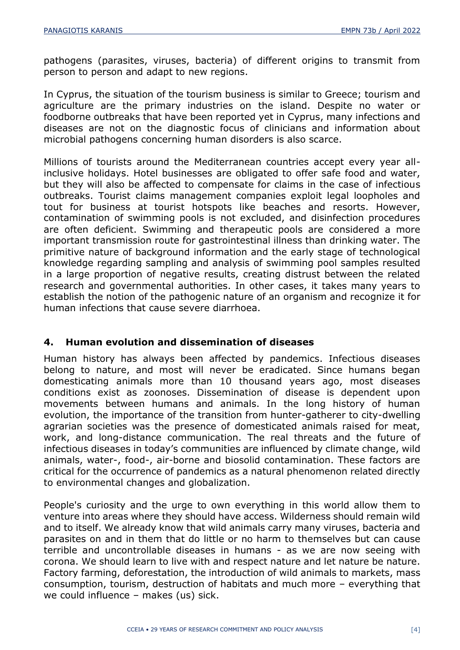pathogens (parasites, viruses, bacteria) of different origins to transmit from person to person and adapt to new regions.

In Cyprus, the situation of the tourism business is similar to Greece; tourism and agriculture are the primary industries on the island. Despite no water or foodborne outbreaks that have been reported yet in Cyprus, many infections and diseases are not on the diagnostic focus of clinicians and information about microbial pathogens concerning human disorders is also scarce.

Millions of tourists around the Mediterranean countries accept every year allinclusive holidays. Hotel businesses are obligated to offer safe food and water, but they will also be affected to compensate for claims in the case of infectious outbreaks. Tourist claims management companies exploit legal loopholes and tout for business at tourist hotspots like beaches and resorts. However, contamination of swimming pools is not excluded, and disinfection procedures are often deficient. Swimming and therapeutic pools are considered a more important transmission route for gastrointestinal illness than drinking water. The primitive nature of background information and the early stage of technological knowledge regarding sampling and analysis of swimming pool samples resulted in a large proportion of negative results, creating distrust between the related research and governmental authorities. In other cases, it takes many years to establish the notion of the pathogenic nature of an organism and recognize it for human infections that cause severe diarrhoea.

#### **4. Human evolution and dissemination of diseases**

Human history has always been affected by pandemics. Infectious diseases belong to nature, and most will never be eradicated. Since humans began domesticating animals more than 10 thousand years ago, most diseases conditions exist as zoonoses. Dissemination of disease is dependent upon movements between humans and animals. In the long history of human evolution, the importance of the transition from hunter-gatherer to city-dwelling agrarian societies was the presence of domesticated animals raised for meat, work, and long-distance communication. The real threats and the future of infectious diseases in today's communities are influenced by climate change, wild animals, water-, food-, air-borne and biosolid contamination. These factors are critical for the occurrence of pandemics as a natural phenomenon related directly to environmental changes and globalization.

People's curiosity and the urge to own everything in this world allow them to venture into areas where they should have access. Wilderness should remain wild and to itself. We already know that wild animals carry many viruses, bacteria and parasites on and in them that do little or no harm to themselves but can cause terrible and uncontrollable diseases in humans - as we are now seeing with corona. We should learn to live with and respect nature and let nature be nature. Factory farming, deforestation, the introduction of wild animals to markets, mass consumption, tourism, destruction of habitats and much more – everything that we could influence – makes (us) sick.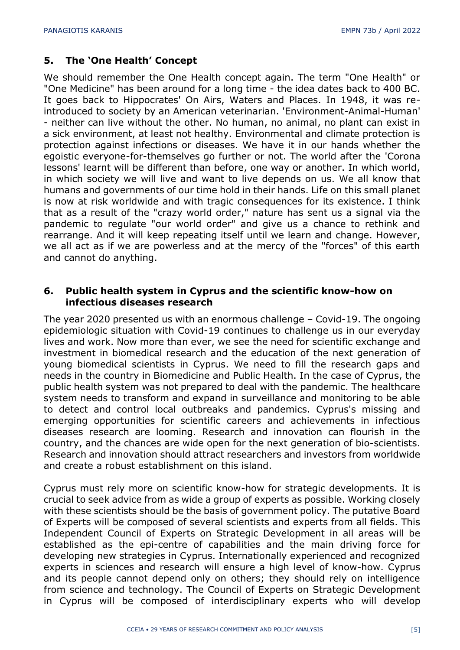# **5. The 'One Health' Concept**

We should remember the One Health concept again. The term "One Health" or "One Medicine" has been around for a long time - the idea dates back to 400 BC. It goes back to Hippocrates' On Airs, Waters and Places. In 1948, it was reintroduced to society by an American veterinarian. 'Environment-Animal-Human' - neither can live without the other. No human, no animal, no plant can exist in a sick environment, at least not healthy. Environmental and climate protection is protection against infections or diseases. We have it in our hands whether the egoistic everyone-for-themselves go further or not. The world after the 'Corona lessons' learnt will be different than before, one way or another. In which world, in which society we will live and want to live depends on us. We all know that humans and governments of our time hold in their hands. Life on this small planet is now at risk worldwide and with tragic consequences for its existence. I think that as a result of the "crazy world order," nature has sent us a signal via the pandemic to regulate "our world order" and give us a chance to rethink and rearrange. And it will keep repeating itself until we learn and change. However, we all act as if we are powerless and at the mercy of the "forces" of this earth and cannot do anything.

# **6. Public health system in Cyprus and the scientific know-how on infectious diseases research**

The year 2020 presented us with an enormous challenge – Covid-19. The ongoing epidemiologic situation with Covid-19 continues to challenge us in our everyday lives and work. Now more than ever, we see the need for scientific exchange and investment in biomedical research and the education of the next generation of young biomedical scientists in Cyprus. We need to fill the research gaps and needs in the country in Biomedicine and Public Health. In the case of Cyprus, the public health system was not prepared to deal with the pandemic. The healthcare system needs to transform and expand in surveillance and monitoring to be able to detect and control local outbreaks and pandemics. Cyprus's missing and emerging opportunities for scientific careers and achievements in infectious diseases research are looming. Research and innovation can flourish in the country, and the chances are wide open for the next generation of bio-scientists. Research and innovation should attract researchers and investors from worldwide and create a robust establishment on this island.

Cyprus must rely more on scientific know-how for strategic developments. It is crucial to seek advice from as wide a group of experts as possible. Working closely with these scientists should be the basis of government policy. The putative Board of Experts will be composed of several scientists and experts from all fields. This Independent Council of Experts on Strategic Development in all areas will be established as the epi-centre of capabilities and the main driving force for developing new strategies in Cyprus. Internationally experienced and recognized experts in sciences and research will ensure a high level of know-how. Cyprus and its people cannot depend only on others; they should rely on intelligence from science and technology. The Council of Experts on Strategic Development in Cyprus will be composed of interdisciplinary experts who will develop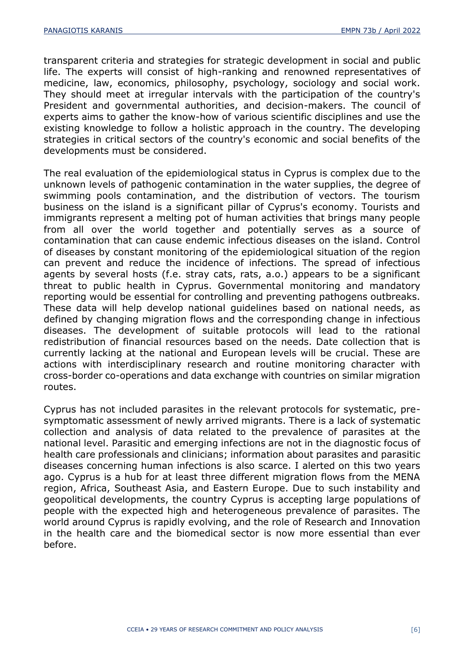transparent criteria and strategies for strategic development in social and public life. The experts will consist of high-ranking and renowned representatives of medicine, law, economics, philosophy, psychology, sociology and social work. They should meet at irregular intervals with the participation of the country's President and governmental authorities, and decision-makers. The council of experts aims to gather the know-how of various scientific disciplines and use the existing knowledge to follow a holistic approach in the country. The developing strategies in critical sectors of the country's economic and social benefits of the developments must be considered.

The real evaluation of the epidemiological status in Cyprus is complex due to the unknown levels of pathogenic contamination in the water supplies, the degree of swimming pools contamination, and the distribution of vectors. The tourism business on the island is a significant pillar of Cyprus's economy. Tourists and immigrants represent a melting pot of human activities that brings many people from all over the world together and potentially serves as a source of contamination that can cause endemic infectious diseases on the island. Control of diseases by constant monitoring of the epidemiological situation of the region can prevent and reduce the incidence of infections. The spread of infectious agents by several hosts (f.e. stray cats, rats, a.o.) appears to be a significant threat to public health in Cyprus. Governmental monitoring and mandatory reporting would be essential for controlling and preventing pathogens outbreaks. These data will help develop national guidelines based on national needs, as defined by changing migration flows and the corresponding change in infectious diseases. The development of suitable protocols will lead to the rational redistribution of financial resources based on the needs. Date collection that is currently lacking at the national and European levels will be crucial. These are actions with interdisciplinary research and routine monitoring character with cross-border co-operations and data exchange with countries on similar migration routes.

Cyprus has not included parasites in the relevant protocols for systematic, presymptomatic assessment of newly arrived migrants. There is a lack of systematic collection and analysis of data related to the prevalence of parasites at the national level. Parasitic and emerging infections are not in the diagnostic focus of health care professionals and clinicians; information about parasites and parasitic diseases concerning human infections is also scarce. I alerted on this two years ago. Cyprus is a hub for at least three different migration flows from the MENA region, Africa, Southeast Asia, and Eastern Europe. Due to such instability and geopolitical developments, the country Cyprus is accepting large populations of people with the expected high and heterogeneous prevalence of parasites. The world around Cyprus is rapidly evolving, and the role of Research and Innovation in the health care and the biomedical sector is now more essential than ever before.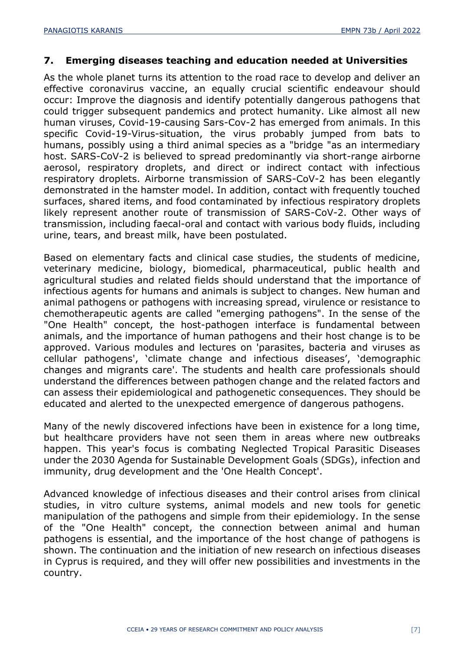## **7. Emerging diseases teaching and education needed at Universities**

As the whole planet turns its attention to the road race to develop and deliver an effective coronavirus vaccine, an equally crucial scientific endeavour should occur: Improve the diagnosis and identify potentially dangerous pathogens that could trigger subsequent pandemics and protect humanity. Like almost all new human viruses, Covid-19-causing Sars-Cov-2 has emerged from animals. In this specific Covid-19-Virus-situation, the virus probably jumped from bats to humans, possibly using a third animal species as a "bridge "as an intermediary host. SARS-CoV-2 is believed to spread predominantly via short-range airborne aerosol, respiratory droplets, and direct or indirect contact with infectious respiratory droplets. Airborne transmission of SARS-CoV-2 has been elegantly demonstrated in the hamster model. In addition, contact with frequently touched surfaces, shared items, and food contaminated by infectious respiratory droplets likely represent another route of transmission of SARS-CoV-2. Other ways of transmission, including faecal-oral and contact with various body fluids, including urine, tears, and breast milk, have been postulated.

Based on elementary facts and clinical case studies, the students of medicine, veterinary medicine, biology, biomedical, pharmaceutical, public health and agricultural studies and related fields should understand that the importance of infectious agents for humans and animals is subject to changes. New human and animal pathogens or pathogens with increasing spread, virulence or resistance to chemotherapeutic agents are called "emerging pathogens". In the sense of the "One Health" concept, the host-pathogen interface is fundamental between animals, and the importance of human pathogens and their host change is to be approved. Various modules and lectures on 'parasites, bacteria and viruses as cellular pathogens', 'climate change and infectious diseases', 'demographic changes and migrants care'. The students and health care professionals should understand the differences between pathogen change and the related factors and can assess their epidemiological and pathogenetic consequences. They should be educated and alerted to the unexpected emergence of dangerous pathogens.

Many of the newly discovered infections have been in existence for a long time, but healthcare providers have not seen them in areas where new outbreaks happen. This year's focus is combating Neglected Tropical Parasitic Diseases under the 2030 Agenda for Sustainable Development Goals (SDGs), infection and immunity, drug development and the 'One Health Concept'.

Advanced knowledge of infectious diseases and their control arises from clinical studies, in vitro culture systems, animal models and new tools for genetic manipulation of the pathogens and simple from their epidemiology. In the sense of the "One Health" concept, the connection between animal and human pathogens is essential, and the importance of the host change of pathogens is shown. The continuation and the initiation of new research on infectious diseases in Cyprus is required, and they will offer new possibilities and investments in the country.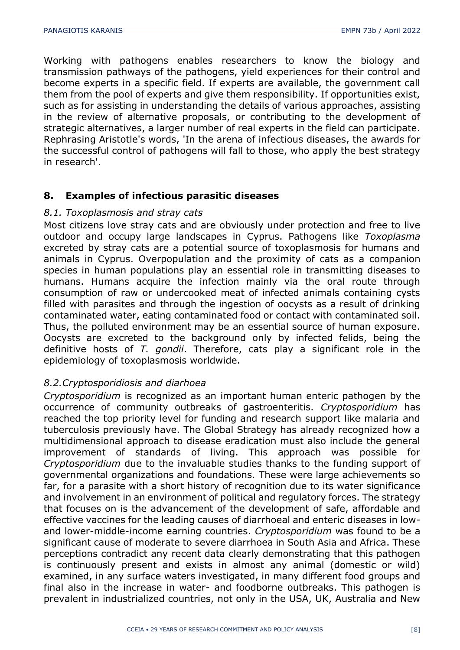Working with pathogens enables researchers to know the biology and transmission pathways of the pathogens, yield experiences for their control and become experts in a specific field. If experts are available, the government call them from the pool of experts and give them responsibility. If opportunities exist, such as for assisting in understanding the details of various approaches, assisting in the review of alternative proposals, or contributing to the development of strategic alternatives, a larger number of real experts in the field can participate. Rephrasing Aristotle's words, 'In the arena of infectious diseases, the awards for the successful control of pathogens will fall to those, who apply the best strategy in research'.

## **8. Examples of infectious parasitic diseases**

#### *8.1. Toxoplasmosis and stray cats*

Most citizens love stray cats and are obviously under protection and free to live outdoor and occupy large landscapes in Cyprus. Pathogens like *Toxoplasma* excreted by stray cats are a potential source of toxoplasmosis for humans and animals in Cyprus. Overpopulation and the proximity of cats as a companion species in human populations play an essential role in transmitting diseases to humans. Humans acquire the infection mainly via the oral route through consumption of raw or undercooked meat of infected animals containing cysts filled with parasites and through the ingestion of oocysts as a result of drinking contaminated water, eating contaminated food or contact with contaminated soil. Thus, the polluted environment may be an essential source of human exposure. Oocysts are excreted to the background only by infected felids, being the definitive hosts of *T. gondii*. Therefore, cats play a significant role in the epidemiology of toxoplasmosis worldwide.

#### *8.2.Cryptosporidiosis and diarhoea*

*Cryptosporidium* is recognized as an important human enteric pathogen by the occurrence of community outbreaks of gastroenteritis. *Cryptosporidium* has reached the top priority level for funding and research support like malaria and tuberculosis previously have. The Global Strategy has already recognized how a multidimensional approach to disease eradication must also include the general improvement of standards of living. This approach was possible for *Cryptosporidium* due to the invaluable studies thanks to the funding support of governmental organizations and foundations. These were large achievements so far, for a parasite with a short history of recognition due to its water significance and involvement in an environment of political and regulatory forces. The strategy that focuses on is the advancement of the development of safe, affordable and effective vaccines for the leading causes of diarrhoeal and enteric diseases in lowand lower-middle-income earning countries. *Cryptosporidium* was found to be a significant cause of moderate to severe diarrhoea in South Asia and Africa. These perceptions contradict any recent data clearly demonstrating that this pathogen is continuously present and exists in almost any animal (domestic or wild) examined, in any surface waters investigated, in many different food groups and final also in the increase in water- and foodborne outbreaks. This pathogen is prevalent in industrialized countries, not only in the USA, UK, Australia and New